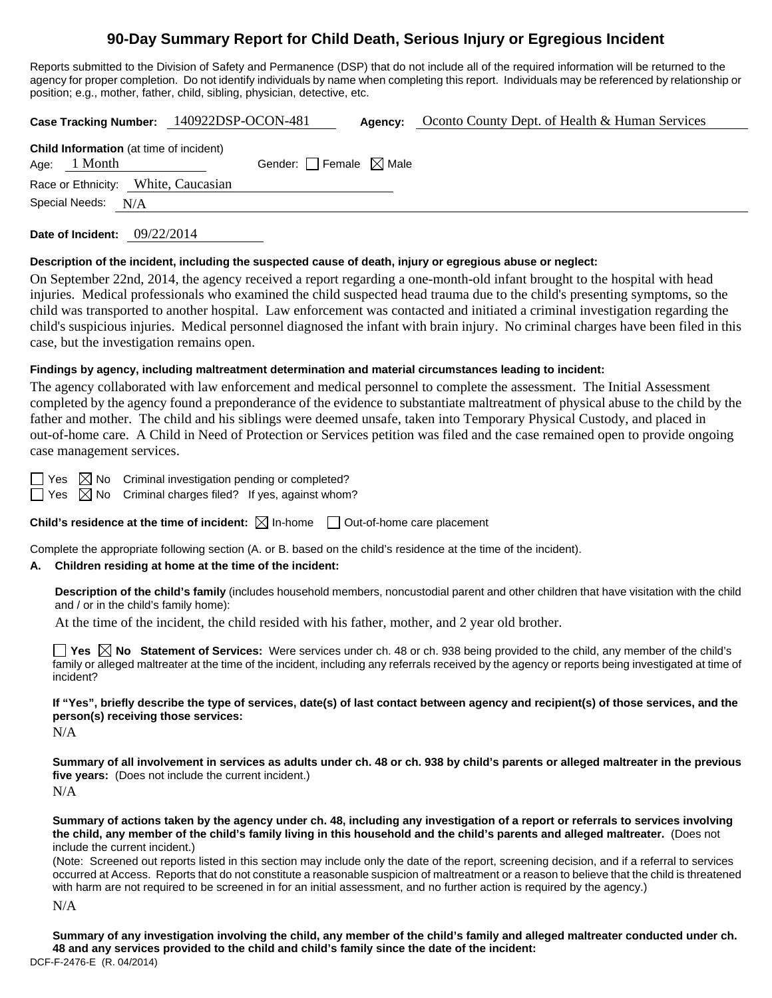# **90-Day Summary Report for Child Death, Serious Injury or Egregious Incident**

Reports submitted to the Division of Safety and Permanence (DSP) that do not include all of the required information will be returned to the agency for proper completion. Do not identify individuals by name when completing this report. Individuals may be referenced by relationship or position; e.g., mother, father, child, sibling, physician, detective, etc.

**Case Tracking Number:** 140922DSP-OCON-481 **Agency:** Oconto County Dept. of Health & Human Services

|                    | <b>Child Information</b> (at time of incident) |                                        |  |
|--------------------|------------------------------------------------|----------------------------------------|--|
| Age: $1$ Month     |                                                | Gender: $\Box$ Female $\boxtimes$ Male |  |
|                    | Race or Ethnicity: White, Caucasian            |                                        |  |
| Special Needs: N/A |                                                |                                        |  |
|                    |                                                |                                        |  |

**Date of Incident:** 09/22/2014

### **Description of the incident, including the suspected cause of death, injury or egregious abuse or neglect:**

On September 22nd, 2014, the agency received a report regarding a one-month-old infant brought to the hospital with head injuries. Medical professionals who examined the child suspected head trauma due to the child's presenting symptoms, so the child was transported to another hospital. Law enforcement was contacted and initiated a criminal investigation regarding the child's suspicious injuries. Medical personnel diagnosed the infant with brain injury. No criminal charges have been filed in this case, but the investigation remains open.

## **Findings by agency, including maltreatment determination and material circumstances leading to incident:**

The agency collaborated with law enforcement and medical personnel to complete the assessment. The Initial Assessment completed by the agency found a preponderance of the evidence to substantiate maltreatment of physical abuse to the child by the father and mother. The child and his siblings were deemed unsafe, taken into Temporary Physical Custody, and placed in out-of-home care. A Child in Need of Protection or Services petition was filed and the case remained open to provide ongoing case management services.

Yes  $\boxtimes$  No Criminal investigation pending or completed?

 $\Box$  Yes  $\boxtimes$  No Criminal charges filed? If yes, against whom?

**Child's residence at the time of incident:**  $\boxtimes$  In-home  $\Box$  Out-of-home care placement

Complete the appropriate following section (A. or B. based on the child's residence at the time of the incident).

## **A. Children residing at home at the time of the incident:**

**Description of the child's family** (includes household members, noncustodial parent and other children that have visitation with the child and / or in the child's family home):

At the time of the incident, the child resided with his father, mother, and 2 year old brother.

**Yes No Statement of Services:** Were services under ch. 48 or ch. 938 being provided to the child, any member of the child's family or alleged maltreater at the time of the incident, including any referrals received by the agency or reports being investigated at time of incident?

**If "Yes", briefly describe the type of services, date(s) of last contact between agency and recipient(s) of those services, and the person(s) receiving those services:** 

N/A

**Summary of all involvement in services as adults under ch. 48 or ch. 938 by child's parents or alleged maltreater in the previous five years:** (Does not include the current incident.) N/A

**Summary of actions taken by the agency under ch. 48, including any investigation of a report or referrals to services involving the child, any member of the child's family living in this household and the child's parents and alleged maltreater.** (Does not include the current incident.)

(Note: Screened out reports listed in this section may include only the date of the report, screening decision, and if a referral to services occurred at Access. Reports that do not constitute a reasonable suspicion of maltreatment or a reason to believe that the child is threatened with harm are not required to be screened in for an initial assessment, and no further action is required by the agency.)

N/A

DCF-F-2476-E (R. 04/2014) **Summary of any investigation involving the child, any member of the child's family and alleged maltreater conducted under ch. 48 and any services provided to the child and child's family since the date of the incident:**